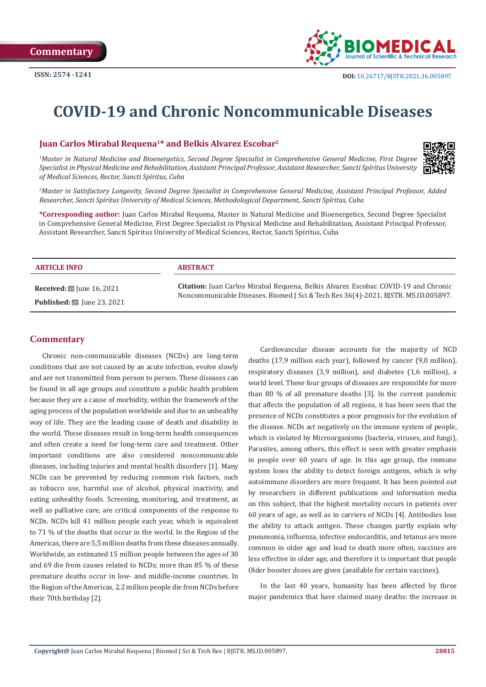

# **COVID-19 and Chronic Noncommunicable Diseases**

## **Juan Carlos Mirabal Requena1\* and Belkis Alvarez Escobar2**

*1 Master in Natural Medicine and Bioenergetics, Second Degree Specialist in Comprehensive General Medicine, First Degree Specialist in Physical Medicine and Rehabilitation, Assistant Principal Professor, Assistant Researcher, Sancti Spíritus University of Medical Sciences, Rector, Sancti Spíritus, Cuba*



*2 Master in Satisfactory Longevity, Second Degree Specialist in Comprehensive General Medicine, Assistant Principal Professor, Added Researcher, Sancti Spíritus University of Medical Sciences, Methodological Department, Sancti Spíritus, Cuba*

**\*Corresponding author:** Juan Carlos Mirabal Requena, Master in Natural Medicine and Bioenergetics, Second Degree Specialist in Comprehensive General Medicine, First Degree Specialist in Physical Medicine and Rehabilitation, Assistant Principal Professor, Assistant Researcher, Sancti Spíritus University of Medical Sciences, Rector, Sancti Spíritus, Cuba

| <b>ARTICLE INFO</b>                          | <b>ABSTRACT</b>                                                                                                                                                           |
|----------------------------------------------|---------------------------------------------------------------------------------------------------------------------------------------------------------------------------|
| <b>Received:</b> [8] June 16, 2021           | Citation: Juan Carlos Mirabal Requena, Belkis Alvarez Escobar. COVID-19 and Chronic<br>Noncommunicable Diseases. Biomed J Sci & Tech Res 36(4)-2021. BISTR. MS.ID.005897. |
| <b>Published:</b> $\ddot{\Xi}$ June 23, 2021 |                                                                                                                                                                           |

# **Commentary**

Chronic non-communicable diseases (NCDs) are long-term conditions that are not caused by an acute infection, evolve slowly and are not transmitted from person to person. These diseases can be found in all age groups and constitute a public health problem because they are a cause of morbidity, within the framework of the aging process of the population worldwide and due to an unhealthy way of life. They are the leading cause of death and disability in the world. These diseases result in long-term health consequences and often create a need for long-term care and treatment. Other important conditions are also considered noncommunicable diseases, including injuries and mental health disorders [1]. Many NCDs can be prevented by reducing common risk factors, such as tobacco use, harmful use of alcohol, physical inactivity, and eating unhealthy foods. Screening, monitoring, and treatment, as well as palliative care, are critical components of the response to NCDs. NCDs kill 41 million people each year, which is equivalent to 71 % of the deaths that occur in the world. In the Region of the Americas, there are 5,5 million deaths from these diseases annually. Worldwide, an estimated 15 million people between the ages of 30 and 69 die from causes related to NCDs; more than 85 % of these premature deaths occur in low- and middle-income countries. In the Region of the Americas, 2,2 million people die from NCDs before their 70th birthday [2].

Cardiovascular disease accounts for the majority of NCD deaths (17,9 million each year), followed by cancer (9,0 million), respiratory diseases (3,9 million), and diabetes (1,6 million), a world level. These four groups of diseases are responsible for more than 80 % of all premature deaths [3]. In the current pandemic that affects the population of all regions, it has been seen that the presence of NCDs constitutes a poor prognosis for the evolution of the disease. NCDs act negatively on the immune system of people, which is violated by Microorganisms (bacteria, viruses, and fungi), Parasites, among others, this effect is seen with greater emphasis in people over 60 years of age. In this age group, the immune system loses the ability to detect foreign antigens, which is why autoimmune disorders are more frequent. It has been pointed out by researchers in different publications and information media on this subject, that the highest mortality occurs in patients over 60 years of age, as well as in carriers of NCDs [4]. Antibodies lose the ability to attack antigen. These changes partly explain why pneumonia, influenza, infective endocarditis, and tetanus are more common in older age and lead to death more often, vaccines are less effective in older age, and therefore it is important that people Older booster doses are given (available for certain vaccines).

In the last 40 years, humanity has been affected by three major pandemics that have claimed many deaths: the increase in